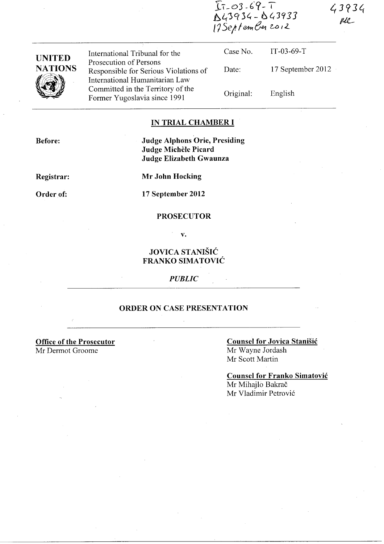$T_{7-03-69-7}$ <br> $N43934-043933$ <br> $175$ eptember 2012

 $43934$  $\mu\ell$ 

| <b>UNITED</b>  | International Tribunal for the                                                                      | Case No.  | $IT-03-69-T$      |
|----------------|-----------------------------------------------------------------------------------------------------|-----------|-------------------|
| <b>NATIONS</b> | Prosecution of Persons<br>Responsible for Serious Violations of                                     | Date:     | 17 September 2012 |
|                | International Humanitarian Law<br>Committed in the Territory of the<br>Former Yugoslavia since 1991 | Original: | English           |

# **IN TRIAL CHAMBER I**

**Before:** 

Judge Alphons Orie, Presiding Judge Michèle Picard Judge Elizabeth Gwaunza

Registrar:

**Mr John Hocking** 

Order of:

17 September 2012

 $\bar{z}$ 

#### **PROSECUTOR**

 $\mathbf{v}$ .

# **JOVICA STANIŠIĆ** FRANKO SIMATOVIĆ

**PUBLIC** 

# ORDER ON CASE PRESENTATION

**Office of the Prosecutor** Mr Dermot Groome

### **Counsel for Jovica Stanišić** Mr Wayne Jordash Mr Scott Martin

**Counsel for Franko Simatović** Mr Mihajlo Bakrač Mr Vladimir Petrović